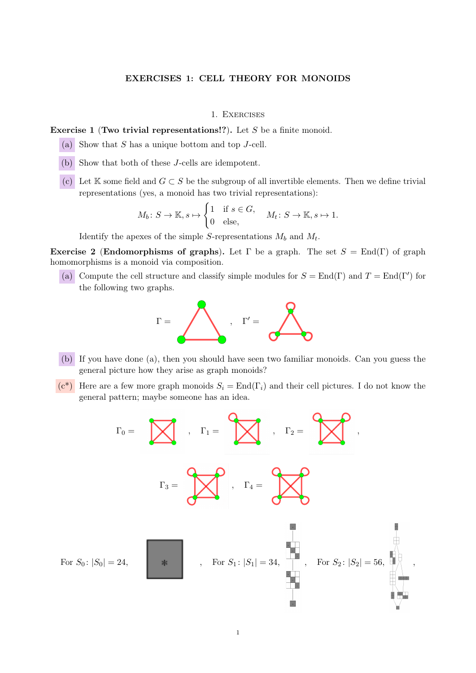### EXERCISES 1: CELL THEORY FOR MONOIDS

#### 1. Exercises

Exercise 1 (Two trivial representations!?). Let  $S$  be a finite monoid.

- (a) Show that  $S$  has a unique bottom and top  $J$ -cell.
- (b) Show that both of these J-cells are idempotent.
- (c) Let K some field and  $G \subset S$  be the subgroup of all invertible elements. Then we define trivial representations (yes, a monoid has two trivial representations):

$$
M_b: S \to \mathbb{K}, s \mapsto \begin{cases} 1 & \text{if } s \in G, \\ 0 & \text{else,} \end{cases} \quad M_t: S \to \mathbb{K}, s \mapsto 1.
$$

Identify the apexes of the simple S-representations  $M_b$  and  $M_t$ .

Exercise 2 (Endomorphisms of graphs). Let  $\Gamma$  be a graph. The set  $S = \text{End}(\Gamma)$  of graph homomorphisms is a monoid via composition.

(a) Compute the cell structure and classify simple modules for  $S = \text{End}(\Gamma)$  and  $T = \text{End}(\Gamma')$  for the following two graphs.



- (b) If you have done (a), then you should have seen two familiar monoids. Can you guess the general picture how they arise as graph monoids?
- $(c^*)$  Here are a few more graph monoids  $S_i = \text{End}(\Gamma_i)$  and their cell pictures. I do not know the general pattern; maybe someone has an idea.

$$
\Gamma_0 = \sum_{\Gamma_3 = \sum_{i=1}^{n} S_i} \Gamma_i = \sum_{i=1}^{n} \Gamma_i
$$
\n
$$
\Gamma_4 = \sum_{\Gamma_5 = \Gamma_6} \Gamma_6
$$
\n
$$
\Gamma_7 = \sum_{\Gamma_8 = \Gamma_7} \Gamma_8 = \sum_{\Gamma_9 = \Gamma_8} \Gamma_9 = \sum_{\Gamma_1 = \Gamma_9} \Gamma_9 = \sum_{\Gamma_1 = \Gamma_8} \Gamma_9 = \sum_{\Gamma_1 = \Gamma_9} \Gamma_9 = \sum_{\Gamma_1 = \Gamma_9} \Gamma_9 = \sum_{\Gamma_1 = \Gamma_9} \Gamma_9 = \sum_{\Gamma_1 = \Gamma_9} \Gamma_9 = \sum_{\Gamma_1 = \Gamma_9} \Gamma_9 = \sum_{\Gamma_1 = \Gamma_9} \Gamma_9 = \sum_{\Gamma_1 = \Gamma_1} \Gamma_9 = \sum_{\Gamma_1 = \Gamma_1} \Gamma_9 = \sum_{\Gamma_1 = \Gamma_1} \Gamma_9 = \sum_{\Gamma_1 = \Gamma_1} \Gamma_9 = \sum_{\Gamma_1 = \Gamma_1} \Gamma_9 = \sum_{\Gamma_1 = \Gamma_1} \Gamma_9 = \sum_{\Gamma_1 = \Gamma_1} \Gamma_9 = \sum_{\Gamma_1 = \Gamma_1} \Gamma_9 = \sum_{\Gamma_1 = \Gamma_1} \Gamma_9 = \sum_{\Gamma_1 = \Gamma_1} \Gamma_9 = \sum_{\Gamma_1 = \Gamma_1} \Gamma_9 = \sum_{\Gamma_1 = \Gamma_1} \Gamma_9 = \sum_{\Gamma_1 = \Gamma_1} \Gamma_9 = \sum_{\Gamma_1 = \Gamma_1} \Gamma_9 = \sum_{\Gamma_1 = \Gamma_1} \Gamma_9 = \sum_{\Gamma_1 = \Gamma_1} \Gamma_9 = \sum_{\Gamma_1 = \Gamma_1} \Gamma_9 = \sum_{\Gamma_1 = \Gamma_1} \Gamma_9 = \sum_{\Gamma_1 = \Gamma_1} \Gamma_9 = \sum_{\Gamma_1 = \Gamma_1} \Gamma_9 = \sum_{\Gamma_1 = \Gamma_1} \Gamma_9 = \sum_{\Gamma_1 = \Gamma_1} \Gamma_9 = \sum_{\Gamma_1 = \Gamma_1} \Gamma_9 = \sum_{\Gamma_1 = \Gamma_1} \Gamma_9 = \sum_{\Gamma_1 = \Gamma_1} \Gamma_9 = \sum_{\Gamma_1 = \Gamma_1} \Gamma_9 = \sum_{\Gamma_1 = \Gamma_1} \Gamma_9 = \sum_{\Gamma_
$$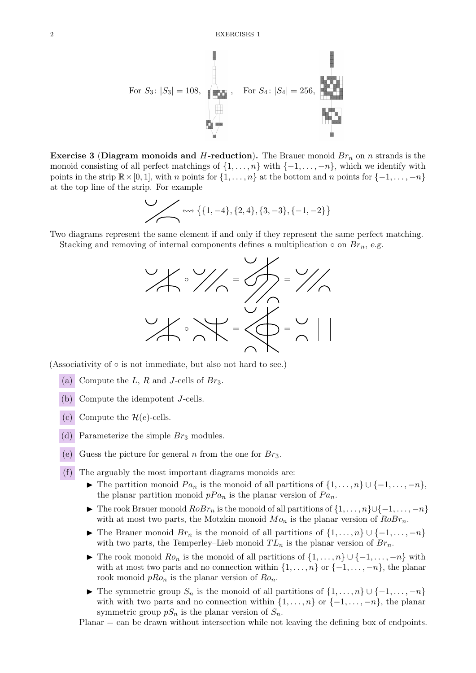

**Exercise 3 (Diagram monoids and H-reduction).** The Brauer monoid  $Br_n$  on n strands is the monoid consisting of all perfect matchings of  $\{1, \ldots, n\}$  with  $\{-1, \ldots, -n\}$ , which we identify with points in the strip  $\mathbb{R}\times[0,1]$ , with n points for  $\{1,\ldots,n\}$  at the bottom and n points for  $\{-1,\ldots,-n\}$ at the top line of the strip. For example

$$
\leftarrow \leftarrow \{ \{1, -4\}, \{2, 4\}, \{3, -3\}, \{-1, -2\} \}
$$

Two diagrams represent the same element if and only if they represent the same perfect matching.

Stacking and removing of internal components defines a multiplication  $\circ$  on  $Br_n$ , e.g.



(Associativity of  $\circ$  is not immediate, but also not hard to see.)

- (a) Compute the L, R and J-cells of  $Br_3$ .
- (b) Compute the idempotent J-cells.
- (c) Compute the  $\mathcal{H}(e)$ -cells.
- (d) Parameterize the simple  $Br_3$  modules.
- (e) Guess the picture for general n from the one for  $Br_3$ .

(f) The arguably the most important diagrams monoids are:

- $\blacktriangleright$  The partition monoid  $Pa_n$  is the monoid of all partitions of  $\{1, \ldots, n\} \cup \{-1, \ldots, -n\}$ , the planar partition monoid  $pPa_n$  is the planar version of  $Pa_n$ .
- ► The rook Brauer monoid  $RoBr_n$  is the monoid of all partitions of  $\{1, \ldots, n\} \cup \{-1, \ldots, -n\}$ with at most two parts, the Motzkin monoid  $Mo_n$  is the planar version of  $RoBr_n$ .
- ► The Brauer monoid  $Br_n$  is the monoid of all partitions of  $\{1, \ldots, n\} \cup \{-1, \ldots, -n\}$ with two parts, the Temperley–Lieb monoid  $TL_n$  is the planar version of  $Br_n$ .
- $\blacktriangleright$  The rook monoid  $Ro_n$  is the monoid of all partitions of  $\{1, \ldots, n\} \cup \{-1, \ldots, -n\}$  with with at most two parts and no connection within  $\{1, \ldots, n\}$  or  $\{-1, \ldots, -n\}$ , the planar rook monoid  $pRo_n$  is the planar version of  $Ro_n$ .
- $\blacktriangleright$  The symmetric group  $S_n$  is the monoid of all partitions of  $\{1, \ldots, n\} \cup \{-1, \ldots, -n\}$ with with two parts and no connection within  $\{1, \ldots, n\}$  or  $\{-1, \ldots, -n\}$ , the planar symmetric group  $pS_n$  is the planar version of  $S_n$ .

 $Planar = \text{can}$  be drawn without intersection while not leaving the defining box of endpoints.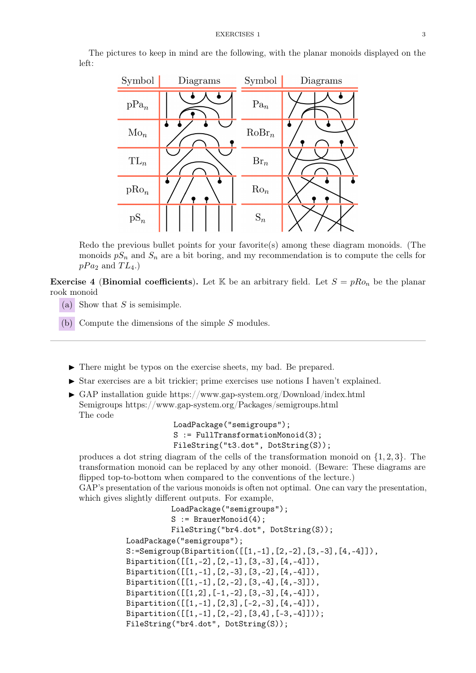The pictures to keep in mind are the following, with the planar monoids displayed on the left:



Redo the previous bullet points for your favorite(s) among these diagram monoids. (The monoids  $pS_n$  and  $S_n$  are a bit boring, and my recommendation is to compute the cells for  $pPa_2$  and  $TL_4$ .)

**Exercise 4 (Binomial coefficients).** Let K be an arbitrary field. Let  $S = pRo_n$  be the planar rook monoid

- (a) Show that  $S$  is semisimple.
- (b) Compute the dimensions of the simple S modules.
	- $\blacktriangleright$  There might be typos on the exercise sheets, my bad. Be prepared.
	- $\triangleright$  Star exercises are a bit trickier; prime exercises use notions I haven't explained.
	- $\triangleright$  GAP installation guide https://www.gap-system.org/Download/index.html Semigroups https://www.gap-system.org/Packages/semigroups.html The code

```
LoadPackage("semigroups");
S := FullTransformationMonoid(3);
FileString("t3.dot", DotString(S));
```
produces a dot string diagram of the cells of the transformation monoid on  $\{1, 2, 3\}$ . The transformation monoid can be replaced by any other monoid. (Beware: These diagrams are flipped top-to-bottom when compared to the conventions of the lecture.)

GAP's presentation of the various monoids is often not optimal. One can vary the presentation, which gives slightly different outputs. For example,

```
LoadPackage("semigroups");
          S := BrauerMonoid(4);FileString("br4.dot", DotString(S));
LoadPackage("semigroups");
S:=Semigroup(Bipartition([[1,-1],[2,-2],[3,-3],[4,-4]]),
Bipartition([[1,-2],[2,-1],[3,-3],[4,-4]]),
Bipartition([[1,-1],[2,-3],[3,-2],[4,-4]]),
Bipartition([[1,-1],[2,-2],[3,-4],[4,-3]]),
Bipartition([[1,2],[-1,-2],[3,-3],[4,-4]]),
Bipartition([[1,-1],[2,3],[-2,-3],[4,-4]]),
Bipartition([[1,-1],[2,-2],[3,4],[-3,-4]]));
FileString("br4.dot", DotString(S));
```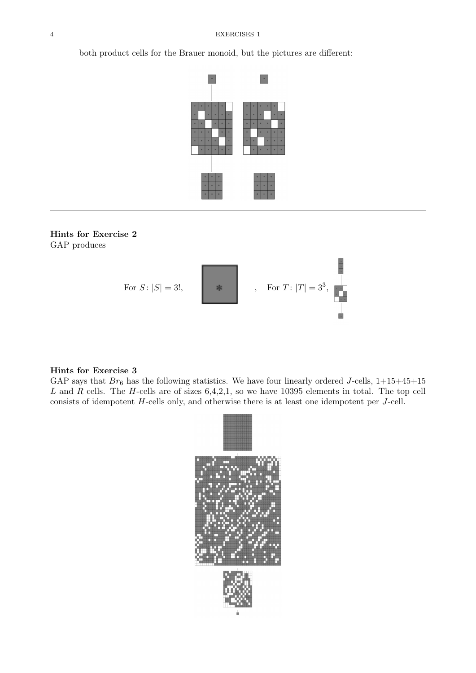both product cells for the Brauer monoid, but the pictures are different:



# Hints for Exercise 2 GAP produces



### Hints for Exercise 3

GAP says that  $Br_6$  has the following statistics. We have four linearly ordered J-cells,  $1+15+45+15$ L and R cells. The H-cells are of sizes  $6,4,2,1$ , so we have 10395 elements in total. The top cell consists of idempotent H-cells only, and otherwise there is at least one idempotent per J-cell.